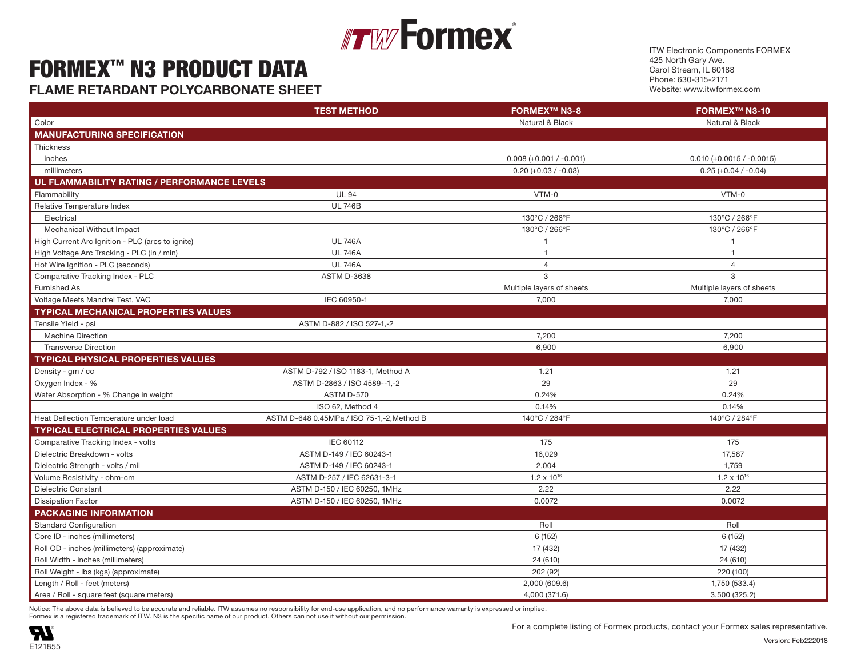### **Formex**® Figure 1. The contract of  $\mathbb{F}_2$  is the contract of  $\mathbb{F}_2$  values of  $\mathbb{F}_2$  values of  $\mathbb{F}_2$  values of  $\mathbb{F}_2$  values of  $\mathbb{F}_2$  values of  $\mathbb{F}_2$  values of  $\mathbb{F}_2$  values of  $\mathbb{F}_2$  values of  $\mathbb{F$

#### FORMEX™ N3 PRODUCT DATA  $\mathbf{F}$  is a set of  $\mathbf{F}$  is a set of  $\mathbf{F}$  is a set of  $\mathbf{F}$  . The set of  $\mathbf{F}$  is a set of  $\mathbf{F}$  is a set of  $\mathbf{F}$  is a set of  $\mathbf{F}$  is a set of  $\mathbf{F}$  is a set of  $\mathbf{F}$  is a set of  $\mathbf{F}$  i

**FLAME RETARDANT POLYCARBONATE SHEET Example 23 and 23 and 23 and 23 and 239°F 115°C/ 239°F 115°C/ 239°F 115°C/ 239°F 115°C/ 239°F 115°C/ 239°F 115°C/ 239°F 115°C/ 239°F 115°C/ 239°F 115°C/ 239°F 115°C/ 239°F 115°C/ 239°** 

ITW Electronic Components FORMEX 425 North Gary Ave. Carol Stream, IL 60188 Phone: 630-315-2171 Website: www.itwformex.com

|                                                  | <b>TEST METHOD</b>                         | <b>FORMEX™ N3-8</b>       | FORMEX <sup>™</sup> N3-10   |
|--------------------------------------------------|--------------------------------------------|---------------------------|-----------------------------|
| Color                                            |                                            | Natural & Black           | Natural & Black             |
| <b>MANUFACTURING SPECIFICATION</b>               |                                            |                           |                             |
| Thickness                                        |                                            |                           |                             |
| inches                                           |                                            | $0.008 (+0.001 / -0.001)$ | $0.010 (+0.0015 / -0.0015)$ |
| millimeters                                      |                                            | $0.20 (+0.03 / -0.03)$    | $0.25 (+0.04 / -0.04)$      |
| UL FLAMMABILITY RATING / PERFORMANCE LEVELS      |                                            |                           |                             |
| Flammability                                     | <b>UL 94</b>                               | VTM-0                     | VTM-0                       |
| Relative Temperature Index                       | <b>UL 746B</b>                             |                           |                             |
| Electrical                                       |                                            | 130°C / 266°F             | 130°C / 266°F               |
| Mechanical Without Impact                        |                                            | 130°C / 266°F             | 130°C / 266°F               |
| High Current Arc Ignition - PLC (arcs to ignite) | <b>UL 746A</b>                             | $\overline{1}$            | $\overline{1}$              |
| High Voltage Arc Tracking - PLC (in / min)       | <b>UL 746A</b>                             | $\overline{1}$            | $\overline{1}$              |
| Hot Wire Ignition - PLC (seconds)                | <b>UL 746A</b>                             | $\overline{4}$            | $\overline{4}$              |
| Comparative Tracking Index - PLC                 | <b>ASTM D-3638</b>                         | 3                         | $\mathbf{3}$                |
| Furnished As                                     |                                            | Multiple layers of sheets | Multiple layers of sheets   |
| Voltage Meets Mandrel Test, VAC                  | IEC 60950-1                                | 7,000                     | 7,000                       |
| <b>TYPICAL MECHANICAL PROPERTIES VALUES</b>      |                                            |                           |                             |
| Tensile Yield - psi                              | ASTM D-882 / ISO 527-1,-2                  |                           |                             |
| <b>Machine Direction</b>                         |                                            | 7,200                     | 7,200                       |
| <b>Transverse Direction</b>                      |                                            | 6,900                     | 6,900                       |
| <b>TYPICAL PHYSICAL PROPERTIES VALUES</b>        |                                            |                           |                             |
| Density - gm / cc                                | ASTM D-792 / ISO 1183-1, Method A          | 1.21                      | 1.21                        |
| Oxygen Index - %                                 | ASTM D-2863 / ISO 4589--1,-2               | 29                        | 29                          |
| Water Absorption - % Change in weight            | ASTM D-570                                 | 0.24%                     | 0.24%                       |
|                                                  | ISO 62, Method 4                           | 0.14%                     | 0.14%                       |
| Heat Deflection Temperature under load           | ASTM D-648 0.45MPa / ISO 75-1,-2, Method B | 140°C / 284°F             | 140°C / 284°F               |
| <b>TYPICAL ELECTRICAL PROPERTIES VALUES</b>      |                                            |                           |                             |
| Comparative Tracking Index - volts               | IEC 60112                                  | 175                       | 175                         |
| Dielectric Breakdown - volts                     | ASTM D-149 / IEC 60243-1                   | 16,029                    | 17,587                      |
| Dielectric Strength - volts / mil                | ASTM D-149 / IEC 60243-1                   | 2,004                     | 1,759                       |
| Volume Resistivity - ohm-cm                      | ASTM D-257 / IEC 62631-3-1                 | $1.2 \times 10^{16}$      | $1.2 \times 10^{16}$        |
| <b>Dielectric Constant</b>                       | ASTM D-150 / IEC 60250, 1MHz               | 2.22                      | 2.22                        |
| <b>Dissipation Factor</b>                        | ASTM D-150 / IEC 60250, 1MHz               | 0.0072                    | 0.0072                      |
| <b>PACKAGING INFORMATION</b>                     |                                            |                           |                             |
| Standard Configuration                           |                                            | Roll                      | Roll                        |
| Core ID - inches (millimeters)                   |                                            | 6 (152)                   | 6 (152)                     |
| Roll OD - inches (millimeters) (approximate)     |                                            | 17 (432)                  | 17 (432)                    |
| Roll Width - inches (millimeters)                |                                            | 24 (610)                  | 24 (610)                    |
| Roll Weight - Ibs (kgs) (approximate)            |                                            | 202 (92)                  | 220 (100)                   |
| Length / Roll - feet (meters)                    |                                            | 2,000 (609.6)             | 1,750 (533.4)               |
| Area / Roll - square feet (square meters)        |                                            | 4,000 (371.6)             | 3,500 (325.2)               |

Notice: The above data is believed to be accurate and reliable. ITW assumes no responsibility for end-use application, and no performance warranty is expressed or implied.

Formex is a registered trademark of ITW. N3 is the specific name of our product. Others can not use it without our permission.